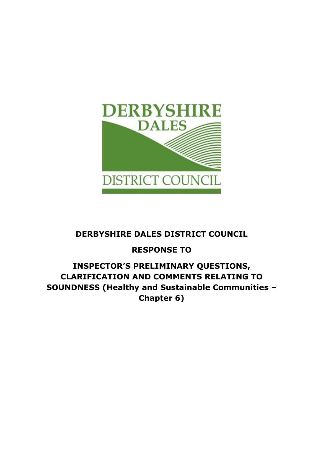

# DERBYSHIRE DALES DISTRICT COUNCIL

# RESPONSE TO

# INSPECTOR'S PRELIMINARY QUESTIONS, CLARIFICATION AND COMMENTS RELATING TO SOUNDNESS (Healthy and Sustainable Communities – Chapter 6)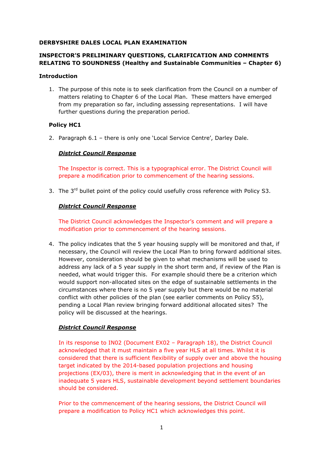## DERBYSHIRE DALES LOCAL PLAN EXAMINATION

# INSPECTOR'S PRELIMINARY QUESTIONS, CLARIFICATION AND COMMENTS RELATING TO SOUNDNESS (Healthy and Sustainable Communities – Chapter 6)

#### Introduction

1. The purpose of this note is to seek clarification from the Council on a number of matters relating to Chapter 6 of the Local Plan. These matters have emerged from my preparation so far, including assessing representations. I will have further questions during the preparation period.

# Policy HC1

2. Paragraph 6.1 – there is only one 'Local Service Centre', Darley Dale.

# District Council Response

The Inspector is correct. This is a typographical error. The District Council will prepare a modification prior to commencement of the hearing sessions.

3. The 3<sup>rd</sup> bullet point of the policy could usefully cross reference with Policy S3.

## District Council Response

The District Council acknowledges the Inspector's comment and will prepare a modification prior to commencement of the hearing sessions.

4. The policy indicates that the 5 year housing supply will be monitored and that, if necessary, the Council will review the Local Plan to bring forward additional sites. However, consideration should be given to what mechanisms will be used to address any lack of a 5 year supply in the short term and, if review of the Plan is needed, what would trigger this. For example should there be a criterion which would support non-allocated sites on the edge of sustainable settlements in the circumstances where there is no 5 year supply but there would be no material conflict with other policies of the plan (see earlier comments on Policy S5), pending a Local Plan review bringing forward additional allocated sites? The policy will be discussed at the hearings.

# District Council Response

In its response to IN02 (Document EX02 – Paragraph 18), the District Council acknowledged that it must maintain a five year HLS at all times. Whilst it is considered that there is sufficient flexibility of supply over and above the housing target indicated by the 2014-based population projections and housing projections (EX/03), there is merit in acknowledging that in the event of an inadequate 5 years HLS, sustainable development beyond settlement boundaries should be considered.

Prior to the commencement of the hearing sessions, the District Council will prepare a modification to Policy HC1 which acknowledges this point.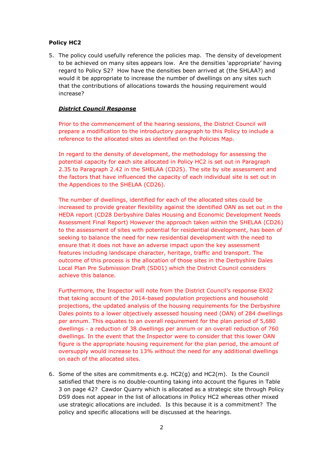# Policy HC2

5. The policy could usefully reference the policies map. The density of development to be achieved on many sites appears low. Are the densities 'appropriate' having regard to Policy S2? How have the densities been arrived at (the SHLAA?) and would it be appropriate to increase the number of dwellings on any sites such that the contributions of allocations towards the housing requirement would increase?

# District Council Response

Prior to the commencement of the hearing sessions, the District Council will prepare a modification to the introductory paragraph to this Policy to include a reference to the allocated sites as identified on the Policies Map.

In regard to the density of development, the methodology for assessing the potential capacity for each site allocated in Policy HC2 is set out in Paragraph 2.35 to Paragraph 2.42 in the SHELAA (CD25). The site by site assessment and the factors that have influenced the capacity of each individual site is set out in the Appendices to the SHELAA (CD26).

The number of dwellings, identified for each of the allocated sites could be increased to provide greater flexibility against the identified OAN as set out in the HEDA report (CD28 Derbyshire Dales Housing and Economic Development Needs Assessment Final Report) However the approach taken within the SHELAA (CD26) to the assessment of sites with potential for residential development, has been of seeking to balance the need for new residential development with the need to ensure that it does not have an adverse impact upon the key assessment features including landscape character, heritage, traffic and transport. The outcome of this process is the allocation of those sites in the Derbyshire Dales Local Plan Pre Submission Draft (SD01) which the District Council considers achieve this balance.

Furthermore, the Inspector will note from the District Council's response EX02 that taking account of the 2014-based population projections and household projections, the updated analysis of the housing requirements for the Derbyshire Dales points to a lower objectively assessed housing need (OAN) of 284 dwellings per annum. This equates to an overall requirement for the plan period of 5,680 dwellings - a reduction of 38 dwellings per annum or an overall reduction of 760 dwellings. In the event that the Inspector were to consider that this lower OAN figure is the appropriate housing requirement for the plan period, the amount of oversupply would increase to 13% without the need for any additional dwellings on each of the allocated sites.

6. Some of the sites are commitments e.g. HC2(g) and HC2(m). Is the Council satisfied that there is no double-counting taking into account the figures in Table 3 on page 42? Cawdor Quarry which is allocated as a strategic site through Policy DS9 does not appear in the list of allocations in Policy HC2 whereas other mixed use strategic allocations are included. Is this because it is a commitment? The policy and specific allocations will be discussed at the hearings.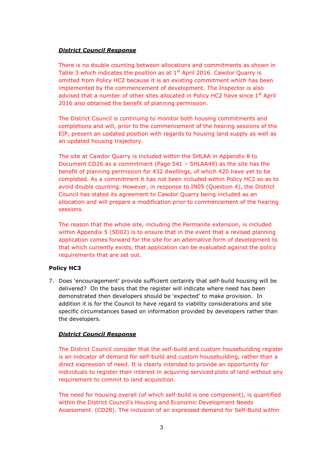There is no double counting between allocations and commitments as shown in Table 3 which indicates the position as at  $1<sup>st</sup>$  April 2016. Cawdor Ouarry is omitted from Policy HC2 because it is an existing commitment which has been implemented by the commencement of development. The Inspector is also advised that a number of other sites allocated in Policy HC2 have since  $1<sup>st</sup>$  April 2016 also obtained the benefit of planning permission.

The District Council is continuing to monitor both housing commitments and completions and will, prior to the commencement of the hearing sessions of the EIP, present an updated position with regards to housing land supply as well as an updated housing trajectory.

The site at Cawdor Quarry is included within the SHLAA in Appendix 8 to Document CD26 as a commitment (Page 541 – SHLAA49) as the site has the benefit of planning permission for 432 dwellings, of which 420 have yet to be completed. As a commitment it has not been included within Policy HC2 so as to avoid double counting. However, in response to IN05 (Question 4), the District Council has stated its agreement to Cawdor Quarry being included as an allocation and will prepare a modification prior to commencement of the hearing sessions.

The reason that the whole site, including the Permanite extension, is included within Appendix 5 (SD02) is to ensure that in the event that a revised planning application comes forward for the site for an alternative form of development to that which currently exists, that application can be evaluated against the policy requirements that are set out.

# Policy HC3

7. Does 'encouragement' provide sufficient certainty that self-build housing will be delivered? On the basis that the register will indicate where need has been demonstrated then developers should be 'expected' to make provision. In addition it is for the Council to have regard to viability considerations and site specific circumstances based on information provided by developers rather than the developers.

# District Council Response

The District Council consider that the self-build and custom housebuilding register is an indicator of demand for self-build and custom housebuilding, rather than a direct expression of need. It is clearly intended to provide an opportunity for individuals to register their interest in acquiring serviced plots of land without any requirement to commit to land acquisition.

The need for housing overall (of which self-build is one component), is quantified within the District Council's Housing and Economic Development Needs Assessment. (CD28). The inclusion of an expressed demand for Self-Build within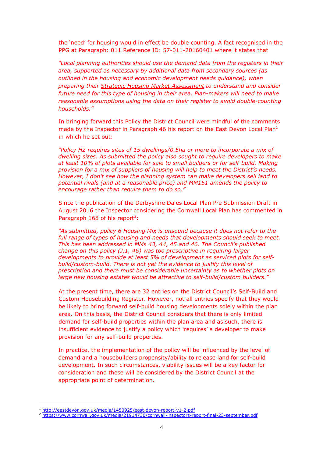the 'need' for housing would in effect be double counting. A fact recognised in the PPG at Paragraph: 011 Reference ID: 57-011-20160401 where it states that

"Local planning authorities should use the demand data from the registers in their area, supported as necessary by additional data from secondary sources (as outlined in the housing and economic development needs guidance), when preparing their Strategic Housing Market Assessment to understand and consider future need for this type of housing in their area. Plan-makers will need to make reasonable assumptions using the data on their register to avoid double-counting households."

In bringing forward this Policy the District Council were mindful of the comments made by the Inspector in Paragraph 46 his report on the East Devon Local Plan $^1$ in which he set out:

"Policy H2 requires sites of 15 dwellings/0.5ha or more to incorporate a mix of dwelling sizes. As submitted the policy also sought to require developers to make at least 10% of plots available for sale to small builders or for self-build. Making provision for a mix of suppliers of housing will help to meet the District's needs. However, I don't see how the planning system can make developers sell land to potential rivals (and at a reasonable price) and MM151 amends the policy to encourage rather than require them to do so."

Since the publication of the Derbyshire Dales Local Plan Pre Submission Draft in August 2016 the Inspector considering the Cornwall Local Plan has commented in Paragraph 168 of his report<sup>2</sup>:

"As submitted, policy 6 Housing Mix is unsound because it does not refer to the full range of types of housing and needs that developments should seek to meet. This has been addressed in MMs 43, 44, 45 and 46. The Council's published change on this policy (J.1, 46) was too prescriptive in requiring larger developments to provide at least 5% of development as serviced plots for selfbuild/custom-build. There is not yet the evidence to justify this level of prescription and there must be considerable uncertainty as to whether plots on large new housing estates would be attractive to self-build/custom builders."

At the present time, there are 32 entries on the District Council's Self-Build and Custom Housebuilding Register. However, not all entries specify that they would be likely to bring forward self-build housing developments solely within the plan area. On this basis, the District Council considers that there is only limited demand for self-build properties within the plan area and as such, there is insufficient evidence to justify a policy which 'requires' a developer to make provision for any self-build properties.

In practice, the implementation of the policy will be influenced by the level of demand and a housebuilders propensity/ability to release land for self-build development. In such circumstances, viability issues will be a key factor for consideration and these will be considered by the District Council at the appropriate point of determination.

l

<sup>1</sup> http://eastdevon.gov.uk/media/1450925/east-devon-report-v1-2.pdf

<sup>2</sup> https://www.cornwall.gov.uk/media/21914730/cornwall-inspectors-report-final-23-september.pdf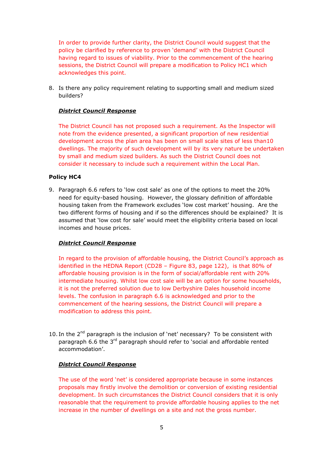In order to provide further clarity, the District Council would suggest that the policy be clarified by reference to proven 'demand' with the District Council having regard to issues of viability. Prior to the commencement of the hearing sessions, the District Council will prepare a modification to Policy HC1 which acknowledges this point.

8. Is there any policy requirement relating to supporting small and medium sized builders?

# District Council Response

The District Council has not proposed such a requirement. As the Inspector will note from the evidence presented, a significant proportion of new residential development across the plan area has been on small scale sites of less than10 dwellings. The majority of such development will by its very nature be undertaken by small and medium sized builders. As such the District Council does not consider it necessary to include such a requirement within the Local Plan.

# Policy HC4

9. Paragraph 6.6 refers to 'low cost sale' as one of the options to meet the 20% need for equity-based housing. However, the glossary definition of affordable housing taken from the Framework excludes 'low cost market' housing. Are the two different forms of housing and if so the differences should be explained? It is assumed that 'low cost for sale' would meet the eligibility criteria based on local incomes and house prices.

# District Council Response

In regard to the provision of affordable housing, the District Council's approach as identified in the HEDNA Report (CD28 – Figure 83, page 122), is that 80% of affordable housing provision is in the form of social/affordable rent with 20% intermediate housing. Whilst low cost sale will be an option for some households, it is not the preferred solution due to low Derbyshire Dales household income levels. The confusion in paragraph 6.6 is acknowledged and prior to the commencement of the hearing sessions, the District Council will prepare a modification to address this point.

10. In the  $2^{nd}$  paragraph is the inclusion of 'net' necessary? To be consistent with paragraph 6.6 the 3<sup>rd</sup> paragraph should refer to 'social and affordable rented accommodation'.

# District Council Response

The use of the word 'net' is considered appropriate because in some instances proposals may firstly involve the demolition or conversion of existing residential development. In such circumstances the District Council considers that it is only reasonable that the requirement to provide affordable housing applies to the net increase in the number of dwellings on a site and not the gross number.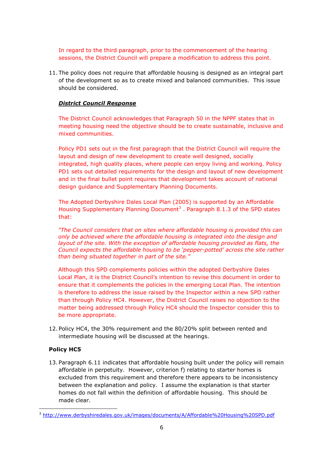In regard to the third paragraph, prior to the commencement of the hearing sessions, the District Council will prepare a modification to address this point.

11. The policy does not require that affordable housing is designed as an integral part of the development so as to create mixed and balanced communities. This issue should be considered.

## District Council Response

The District Council acknowledges that Paragraph 50 in the NPPF states that in meeting housing need the objective should be to create sustainable, inclusive and mixed communities.

Policy PD1 sets out in the first paragraph that the District Council will require the layout and design of new development to create well designed, socially integrated, high quality places, where people can enjoy living and working. Policy PD1 sets out detailed requirements for the design and layout of new development and in the final bullet point requires that development takes account of national design guidance and Supplementary Planning Documents.

The Adopted Derbyshire Dales Local Plan (2005) is supported by an Affordable Housing Supplementary Planning Document<sup>3</sup>. Paragraph 8.1.3 of the SPD states that:

"The Council considers that on sites where affordable housing is provided this can only be achieved where the affordable housing is integrated into the design and layout of the site. With the exception of affordable housing provided as flats, the Council expects the affordable housing to be 'pepper-potted' across the site rather than being situated together in part of the site.'

Although this SPD complements policies within the adopted Derbyshire Dales Local Plan, it is the District Council's intention to revise this document in order to ensure that it complements the policies in the emerging Local Plan. The intention is therefore to address the issue raised by the Inspector within a new SPD rather than through Policy HC4. However, the District Council raises no objection to the matter being addressed through Policy HC4 should the Inspector consider this to be more appropriate.

12. Policy HC4, the 30% requirement and the 80/20% split between rented and intermediate housing will be discussed at the hearings.

#### Policy HC5

13. Paragraph 6.11 indicates that affordable housing built under the policy will remain affordable in perpetuity. However, criterion f) relating to starter homes is excluded from this requirement and therefore there appears to be inconsistency between the explanation and policy. I assume the explanation is that starter homes do not fall within the definition of affordable housing. This should be made clear.

l <sup>3</sup> http://www.derbyshiredales.gov.uk/images/documents/A/Affordable%20Housing%20SPD.pdf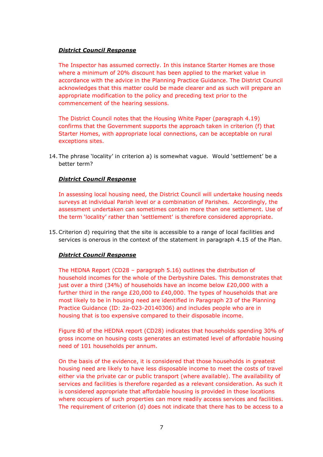The Inspector has assumed correctly. In this instance Starter Homes are those where a minimum of 20% discount has been applied to the market value in accordance with the advice in the Planning Practice Guidance. The District Council acknowledges that this matter could be made clearer and as such will prepare an appropriate modification to the policy and preceding text prior to the commencement of the hearing sessions.

The District Council notes that the Housing White Paper (paragraph 4.19) confirms that the Government supports the approach taken in criterion (f) that Starter Homes, with appropriate local connections, can be acceptable on rural exceptions sites.

14. The phrase 'locality' in criterion a) is somewhat vague. Would 'settlement' be a better term?

## District Council Response

In assessing local housing need, the District Council will undertake housing needs surveys at individual Parish level or a combination of Parishes. Accordingly, the assessment undertaken can sometimes contain more than one settlement. Use of the term 'locality' rather than 'settlement' is therefore considered appropriate.

15.Criterion d) requiring that the site is accessible to a range of local facilities and services is onerous in the context of the statement in paragraph 4.15 of the Plan.

#### District Council Response

The HEDNA Report (CD28 – paragraph 5.16) outlines the distribution of household incomes for the whole of the Derbyshire Dales. This demonstrates that just over a third (34%) of households have an income below £20,000 with a further third in the range  $£20,000$  to  $£40,000$ . The types of households that are most likely to be in housing need are identified in Paragraph 23 of the Planning Practice Guidance (ID: 2a-023-20140306) and includes people who are in housing that is too expensive compared to their disposable income.

Figure 80 of the HEDNA report (CD28) indicates that households spending 30% of gross income on housing costs generates an estimated level of affordable housing need of 101 households per annum.

On the basis of the evidence, it is considered that those households in greatest housing need are likely to have less disposable income to meet the costs of travel either via the private car or public transport (where available). The availability of services and facilities is therefore regarded as a relevant consideration. As such it is considered appropriate that affordable housing is provided in those locations where occupiers of such properties can more readily access services and facilities. The requirement of criterion (d) does not indicate that there has to be access to a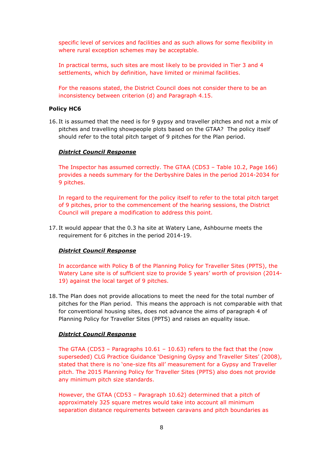specific level of services and facilities and as such allows for some flexibility in where rural exception schemes may be acceptable.

In practical terms, such sites are most likely to be provided in Tier 3 and 4 settlements, which by definition, have limited or minimal facilities.

For the reasons stated, the District Council does not consider there to be an inconsistency between criterion (d) and Paragraph 4.15.

#### Policy HC6

16. It is assumed that the need is for 9 gypsy and traveller pitches and not a mix of pitches and travelling showpeople plots based on the GTAA? The policy itself should refer to the total pitch target of 9 pitches for the Plan period.

## District Council Response

The Inspector has assumed correctly. The GTAA (CD53 – Table 10.2, Page 166) provides a needs summary for the Derbyshire Dales in the period 2014-2034 for 9 pitches.

In regard to the requirement for the policy itself to refer to the total pitch target of 9 pitches, prior to the commencement of the hearing sessions, the District Council will prepare a modification to address this point.

17. It would appear that the 0.3 ha site at Watery Lane, Ashbourne meets the requirement for 6 pitches in the period 2014-19.

# District Council Response

In accordance with Policy B of the Planning Policy for Traveller Sites (PPTS), the Watery Lane site is of sufficient size to provide 5 years' worth of provision (2014- 19) against the local target of 9 pitches.

18. The Plan does not provide allocations to meet the need for the total number of pitches for the Plan period. This means the approach is not comparable with that for conventional housing sites, does not advance the aims of paragraph 4 of Planning Policy for Traveller Sites (PPTS) and raises an equality issue.

#### District Council Response

The GTAA (CD53 – Paragraphs  $10.61 - 10.63$ ) refers to the fact that the (now superseded) CLG Practice Guidance 'Designing Gypsy and Traveller Sites' (2008), stated that there is no 'one-size fits all' measurement for a Gypsy and Traveller pitch. The 2015 Planning Policy for Traveller Sites (PPTS) also does not provide any minimum pitch size standards.

However, the GTAA (CD53 – Paragraph 10.62) determined that a pitch of approximately 325 square metres would take into account all minimum separation distance requirements between caravans and pitch boundaries as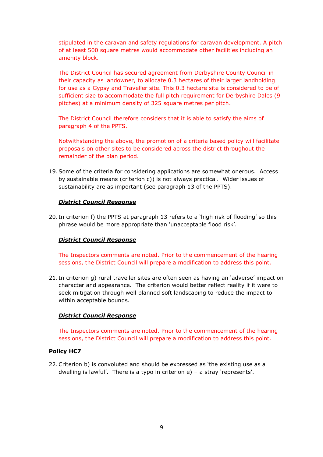stipulated in the caravan and safety regulations for caravan development. A pitch of at least 500 square metres would accommodate other facilities including an amenity block.

The District Council has secured agreement from Derbyshire County Council in their capacity as landowner, to allocate 0.3 hectares of their larger landholding for use as a Gypsy and Traveller site. This 0.3 hectare site is considered to be of sufficient size to accommodate the full pitch requirement for Derbyshire Dales (9 pitches) at a minimum density of 325 square metres per pitch.

The District Council therefore considers that it is able to satisfy the aims of paragraph 4 of the PPTS.

Notwithstanding the above, the promotion of a criteria based policy will facilitate proposals on other sites to be considered across the district throughout the remainder of the plan period.

19.Some of the criteria for considering applications are somewhat onerous. Access by sustainable means (criterion c)) is not always practical. Wider issues of sustainability are as important (see paragraph 13 of the PPTS).

## District Council Response

20. In criterion f) the PPTS at paragraph 13 refers to a 'high risk of flooding' so this phrase would be more appropriate than 'unacceptable flood risk'.

#### District Council Response

The Inspectors comments are noted. Prior to the commencement of the hearing sessions, the District Council will prepare a modification to address this point.

21. In criterion g) rural traveller sites are often seen as having an 'adverse' impact on character and appearance. The criterion would better reflect reality if it were to seek mitigation through well planned soft landscaping to reduce the impact to within acceptable bounds.

#### District Council Response

The Inspectors comments are noted. Prior to the commencement of the hearing sessions, the District Council will prepare a modification to address this point.

#### Policy HC7

22.Criterion b) is convoluted and should be expressed as 'the existing use as a dwelling is lawful'. There is a typo in criterion e) – a stray 'represents'.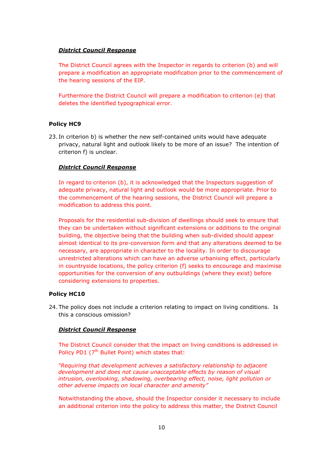The District Council agrees with the Inspector in regards to criterion (b) and will prepare a modification an appropriate modification prior to the commencement of the hearing sessions of the EIP.

Furthermore the District Council will prepare a modification to criterion (e) that deletes the identified typographical error.

## Policy HC9

23. In criterion b) is whether the new self-contained units would have adequate privacy, natural light and outlook likely to be more of an issue? The intention of criterion f) is unclear.

## District Council Response

In regard to criterion (b), it is acknowledged that the Inspectors suggestion of adequate privacy, natural light and outlook would be more appropriate. Prior to the commencement of the hearing sessions, the District Council will prepare a modification to address this point.

Proposals for the residential sub-division of dwellings should seek to ensure that they can be undertaken without significant extensions or additions to the original building, the objective being that the building when sub-divided should appear almost identical to its pre-conversion form and that any alterations deemed to be necessary, are appropriate in character to the locality. In order to discourage unrestricted alterations which can have an adverse urbanising effect, particularly in countryside locations, the policy criterion (f) seeks to encourage and maximise opportunities for the conversion of any outbuildings (where they exist) before considering extensions to properties.

#### Policy HC10

24. The policy does not include a criterion relating to impact on living conditions. Is this a conscious omission?

#### District Council Response

The District Council consider that the impact on living conditions is addressed in Policy PD1 ( $7<sup>th</sup>$  Bullet Point) which states that:

"Requiring that development achieves a satisfactory relationship to adjacent development and does not cause unacceptable effects by reason of visual intrusion, overlooking, shadowing, overbearing effect, noise, light pollution or other adverse impacts on local character and amenity"

Notwithstanding the above, should the Inspector consider it necessary to include an additional criterion into the policy to address this matter, the District Council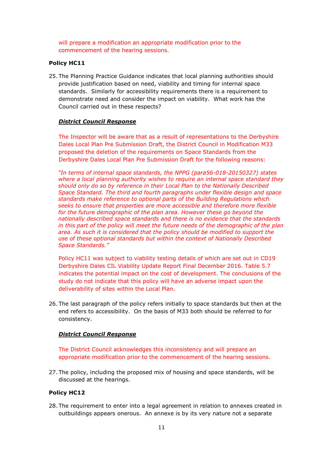will prepare a modification an appropriate modification prior to the commencement of the hearing sessions.

#### Policy HC11

25. The Planning Practice Guidance indicates that local planning authorities should provide justification based on need, viability and timing for internal space standards. Similarly for accessibility requirements there is a requirement to demonstrate need and consider the impact on viability. What work has the Council carried out in these respects?

## District Council Response

The Inspector will be aware that as a result of representations to the Derbyshire Dales Local Plan Pre Submission Draft, the District Council in Modification M33 proposed the deletion of the requirements on Space Standards from the Derbyshire Dales Local Plan Pre Submission Draft for the following reasons:

"In terms of internal space standards, the NPPG (para56-018-20150327) states where a local planning authority wishes to require an internal space standard they should only do so by reference in their Local Plan to the Nationally Described Space Standard. The third and fourth paragraphs under flexible design and space standards make reference to optional parts of the Building Regulations which seeks to ensure that properties are more accessible and therefore more flexible for the future demographic of the plan area. However these go beyond the nationally described space standards and there is no evidence that the standards in this part of the policy will meet the future needs of the demographic of the plan area. As such it is considered that the policy should be modified to support the use of these optional standards but within the context of Nationally Described Space Standards."

Policy HC11 was subject to viability testing details of which are set out in CD19 Derbyshire Dales CIL Viability Update Report Final December 2016. Table 5.7 indicates the potential impact on the cost of development. The conclusions of the study do not indicate that this policy will have an adverse impact upon the deliverability of sites within the Local Plan.

26. The last paragraph of the policy refers initially to space standards but then at the end refers to accessibility. On the basis of M33 both should be referred to for consistency.

# District Council Response

The District Council acknowledges this inconsistency and will prepare an appropriate modification prior to the commencement of the hearing sessions.

27. The policy, including the proposed mix of housing and space standards, will be discussed at the hearings.

#### Policy HC12

28. The requirement to enter into a legal agreement in relation to annexes created in outbuildings appears onerous. An annexe is by its very nature not a separate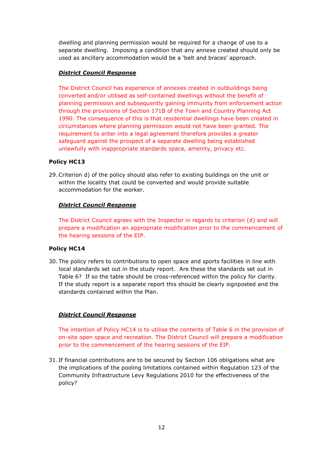dwelling and planning permission would be required for a change of use to a separate dwelling. Imposing a condition that any annexe created should only be used as ancillary accommodation would be a 'belt and braces' approach.

# District Council Response

The District Council has experience of annexes created in outbuildings being converted and/or utilised as self-contained dwellings without the benefit of planning permission and subsequently gaining immunity from enforcement action through the provisions of Section 171B of the Town and Country Planning Act 1990. The consequence of this is that residential dwellings have been created in circumstances where planning permission would not have been granted. The requirement to enter into a legal agreement therefore provides a greater safeguard against the prospect of a separate dwelling being established unlawfully with inappropriate standards space, amenity, privacy etc.

# Policy HC13

29.Criterion d) of the policy should also refer to existing buildings on the unit or within the locality that could be converted and would provide suitable accommodation for the worker.

# District Council Response

The District Council agrees with the Inspector in regards to criterion (d) and will prepare a modification an appropriate modification prior to the commencement of the hearing sessions of the EIP.

# Policy HC14

30. The policy refers to contributions to open space and sports facilities in line with local standards set out in the study report. Are these the standards set out in Table 6? If so the table should be cross-referenced within the policy for clarity. If the study report is a separate report this should be clearly signposted and the standards contained within the Plan.

# District Council Response

The intention of Policy HC14 is to utilise the contents of Table 6 in the provision of on-site open space and recreation. The District Council will prepare a modification prior to the commencement of the hearing sessions of the EIP.

31. If financial contributions are to be secured by Section 106 obligations what are the implications of the pooling limitations contained within Regulation 123 of the Community Infrastructure Levy Regulations 2010 for the effectiveness of the policy?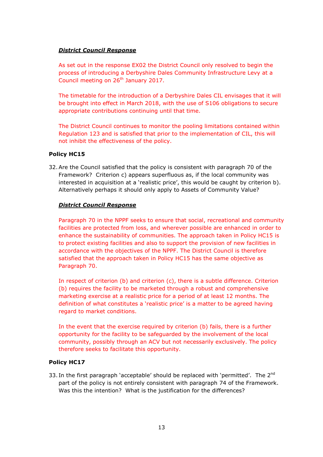As set out in the response EX02 the District Council only resolved to begin the process of introducing a Derbyshire Dales Community Infrastructure Levy at a Council meeting on 26<sup>th</sup> January 2017.

The timetable for the introduction of a Derbyshire Dales CIL envisages that it will be brought into effect in March 2018, with the use of S106 obligations to secure appropriate contributions continuing until that time.

The District Council continues to monitor the pooling limitations contained within Regulation 123 and is satisfied that prior to the implementation of CIL, this will not inhibit the effectiveness of the policy.

## Policy HC15

32.Are the Council satisfied that the policy is consistent with paragraph 70 of the Framework? Criterion c) appears superfluous as, if the local community was interested in acquisition at a 'realistic price', this would be caught by criterion b). Alternatively perhaps it should only apply to Assets of Community Value?

## District Council Response

Paragraph 70 in the NPPF seeks to ensure that social, recreational and community facilities are protected from loss, and wherever possible are enhanced in order to enhance the sustainability of communities. The approach taken in Policy HC15 is to protect existing facilities and also to support the provision of new facilities in accordance with the objectives of the NPPF. The District Council is therefore satisfied that the approach taken in Policy HC15 has the same objective as Paragraph 70.

In respect of criterion (b) and criterion (c), there is a subtle difference. Criterion (b) requires the facility to be marketed through a robust and comprehensive marketing exercise at a realistic price for a period of at least 12 months. The definition of what constitutes a 'realistic price' is a matter to be agreed having regard to market conditions.

In the event that the exercise required by criterion (b) fails, there is a further opportunity for the facility to be safeguarded by the involvement of the local community, possibly through an ACV but not necessarily exclusively. The policy therefore seeks to facilitate this opportunity.

# Policy HC17

33. In the first paragraph 'acceptable' should be replaced with 'permitted'. The  $2<sup>nd</sup>$ part of the policy is not entirely consistent with paragraph 74 of the Framework. Was this the intention? What is the justification for the differences?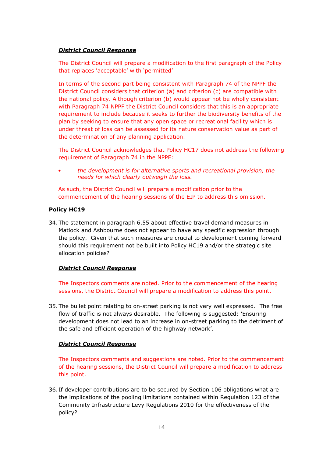The District Council will prepare a modification to the first paragraph of the Policy that replaces 'acceptable' with 'permitted'

In terms of the second part being consistent with Paragraph 74 of the NPPF the District Council considers that criterion (a) and criterion (c) are compatible with the national policy. Although criterion (b) would appear not be wholly consistent with Paragraph 74 NPPF the District Council considers that this is an appropriate requirement to include because it seeks to further the biodiversity benefits of the plan by seeking to ensure that any open space or recreational facility which is under threat of loss can be assessed for its nature conservation value as part of the determination of any planning application.

The District Council acknowledges that Policy HC17 does not address the following requirement of Paragraph 74 in the NPPF:

• the development is for alternative sports and recreational provision, the needs for which clearly outweigh the loss.

As such, the District Council will prepare a modification prior to the commencement of the hearing sessions of the EIP to address this omission.

## Policy HC19

34. The statement in paragraph 6.55 about effective travel demand measures in Matlock and Ashbourne does not appear to have any specific expression through the policy. Given that such measures are crucial to development coming forward should this requirement not be built into Policy HC19 and/or the strategic site allocation policies?

# District Council Response

The Inspectors comments are noted. Prior to the commencement of the hearing sessions, the District Council will prepare a modification to address this point.

35. The bullet point relating to on-street parking is not very well expressed. The free flow of traffic is not always desirable. The following is suggested: 'Ensuring development does not lead to an increase in on-street parking to the detriment of the safe and efficient operation of the highway network'.

#### District Council Response

The Inspectors comments and suggestions are noted. Prior to the commencement of the hearing sessions, the District Council will prepare a modification to address this point.

36. If developer contributions are to be secured by Section 106 obligations what are the implications of the pooling limitations contained within Regulation 123 of the Community Infrastructure Levy Regulations 2010 for the effectiveness of the policy?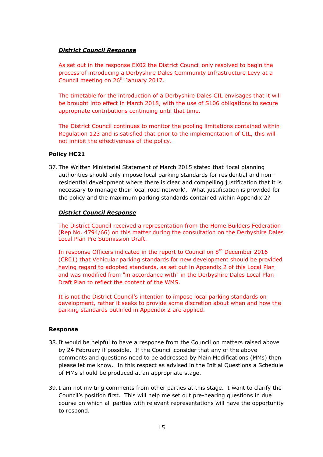As set out in the response EX02 the District Council only resolved to begin the process of introducing a Derbyshire Dales Community Infrastructure Levy at a Council meeting on 26<sup>th</sup> January 2017.

The timetable for the introduction of a Derbyshire Dales CIL envisages that it will be brought into effect in March 2018, with the use of S106 obligations to secure appropriate contributions continuing until that time.

The District Council continues to monitor the pooling limitations contained within Regulation 123 and is satisfied that prior to the implementation of CIL, this will not inhibit the effectiveness of the policy.

## Policy HC21

37. The Written Ministerial Statement of March 2015 stated that 'local planning authorities should only impose local parking standards for residential and nonresidential development where there is clear and compelling justification that it is necessary to manage their local road network'. What justification is provided for the policy and the maximum parking standards contained within Appendix 2?

## District Council Response

The District Council received a representation from the Home Builders Federation (Rep No. 4794/66) on this matter during the consultation on the Derbyshire Dales Local Plan Pre Submission Draft.

In response Officers indicated in the report to Council on 8<sup>th</sup> December 2016 (CR01) that Vehicular parking standards for new development should be provided having regard to adopted standards, as set out in Appendix 2 of this Local Plan and was modified from "in accordance with" in the Derbyshire Dales Local Plan Draft Plan to reflect the content of the WMS.

It is not the District Council's intention to impose local parking standards on development, rather it seeks to provide some discretion about when and how the parking standards outlined in Appendix 2 are applied.

#### Response

- 38. It would be helpful to have a response from the Council on matters raised above by 24 February if possible. If the Council consider that any of the above comments and questions need to be addressed by Main Modifications (MMs) then please let me know. In this respect as advised in the Initial Questions a Schedule of MMs should be produced at an appropriate stage.
- 39. I am not inviting comments from other parties at this stage. I want to clarify the Council's position first. This will help me set out pre-hearing questions in due course on which all parties with relevant representations will have the opportunity to respond.